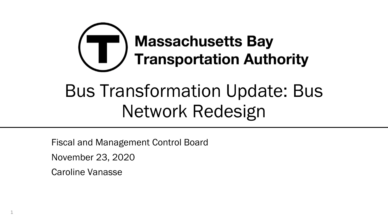

Fiscal and Management Control Board

November 23, 2020

Caroline Vanasse

1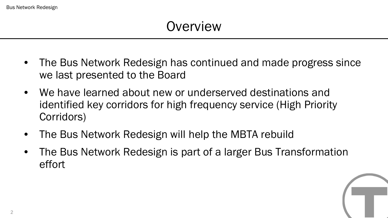# **Overview**

- The Bus Network Redesign has continued and made progress since we last presented to the Board
- We have learned about new or underserved destinations and identified key corridors for high frequency service (High Priority Corridors)
- The Bus Network Redesign will help the MBTA rebuild
- The Bus Network Redesign is part of a larger Bus Transformation effort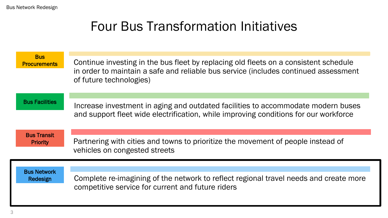## Four Bus Transformation Initiatives

| <b>Bus</b><br><b>Procurements</b> | Continue investing in the bus fleet by replacing old fleets on a consistent schedule<br>in order to maintain a safe and reliable bus service (includes continued assessment<br>of future technologies) |
|-----------------------------------|--------------------------------------------------------------------------------------------------------------------------------------------------------------------------------------------------------|
| <b>Bus Facilities</b>             | Increase investment in aging and outdated facilities to accommodate modern buses<br>and support fleet wide electrification, while improving conditions for our workforce                               |
| <b>Bus Transit</b>                | Partnering with cities and towns to prioritize the movement of people instead of                                                                                                                       |
| <b>Priority</b>                   | vehicles on congested streets                                                                                                                                                                          |
| <b>Bus Network</b>                | Complete re-imagining of the network to reflect regional travel needs and create more                                                                                                                  |
| Redesign                          | competitive service for current and future riders                                                                                                                                                      |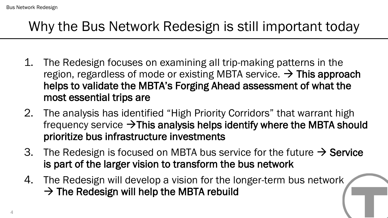# Why the Bus Network Redesign is still important today

- 1. The Redesign focuses on examining all trip-making patterns in the region, regardless of mode or existing MBTA service.  $\rightarrow$  This approach helps to validate the MBTA's Forging Ahead assessment of what the most essential trips are
- 2. The analysis has identified "High Priority Corridors" that warrant high frequency service  $\rightarrow$  This analysis helps identify where the MBTA should prioritize bus infrastructure investments
- 3. The Redesign is focused on MBTA bus service for the future  $\rightarrow$  Service is part of the larger vision to transform the bus network
- 4. The Redesign will develop a vision for the longer-term bus network  $\rightarrow$  The Redesign will help the MBTA rebuild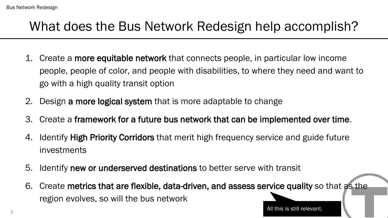## What does the Bus Network Redesign help accomplish?

- 1. Create a more equitable network that connects people, in particular low income people, people of color, and people with disabilities, to where they need and want to go with a high quality transit option
- 2. Design a more logical system that is more adaptable to change
- 3. Create a framework for a future bus network that can be implemented over time.
- 4. Identify **High Priority Corridors** that merit high frequency service and guide future investments
- 5. Identify new or underserved destinations to better serve with transit
- 6. Create metrics that are flexible, data-driven, and assess service quality so that as the region evolves, so will the bus network

All this is still relevant.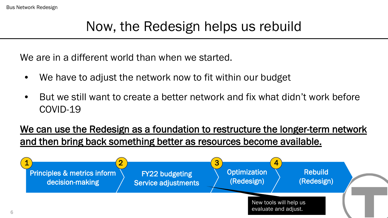# Now, the Redesign helps us rebuild

We are in a different world than when we started.

- We have to adjust the network now to fit within our budget
- But we still want to create a better network and fix what didn't work before COVID-19

#### We can use the Redesign as a foundation to restructure the longer-term network and then bring back something better as resources become available.

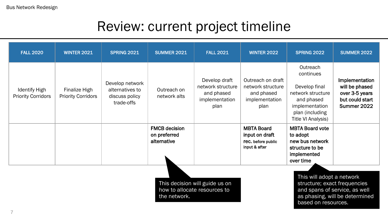# Review: current project timeline

| <b>FALL 2020</b>                                                                                                                                                                                                                      | <b>WINTER 2021</b>                         | <b>SPRING 2021</b>                                                 | <b>SUMMER 2021</b>                                  | <b>FALL 2021</b>                                                           | <b>WINTER 2022</b>                                                             | <b>SPRING 2022</b>                                                                                                                          | <b>SUMMER 2022</b>                                                                   |
|---------------------------------------------------------------------------------------------------------------------------------------------------------------------------------------------------------------------------------------|--------------------------------------------|--------------------------------------------------------------------|-----------------------------------------------------|----------------------------------------------------------------------------|--------------------------------------------------------------------------------|---------------------------------------------------------------------------------------------------------------------------------------------|--------------------------------------------------------------------------------------|
| <b>Identify High</b><br><b>Priority Corridors</b>                                                                                                                                                                                     | Finalize High<br><b>Priority Corridors</b> | Develop network<br>alternatives to<br>discuss policy<br>trade-offs | Outreach on<br>network alts                         | Develop draft<br>network structure<br>and phased<br>implementation<br>plan | Outreach on draft<br>network structure<br>and phased<br>implementation<br>plan | Outreach<br>continues<br>Develop final<br>network structure<br>and phased<br>implementation<br>plan (including<br><b>Title VI Analysis)</b> | Implementation<br>will be phased<br>over 3-5 years<br>but could start<br>Summer 2022 |
|                                                                                                                                                                                                                                       |                                            |                                                                    | <b>FMCB decision</b><br>on preferred<br>alternative |                                                                            | <b>MBTA Board</b><br>input on draft<br>rec. before public<br>input & after     | <b>MBTA Board vote</b><br>to adopt<br>new bus network<br>structure to be<br>implemented<br>over time                                        |                                                                                      |
| This will adopt a network<br>This decision will guide us on<br>structure; exact frequencies<br>how to allocate resources to<br>and spans of service, as well<br>as phasing, will be determined<br>the network.<br>based on resources. |                                            |                                                                    |                                                     |                                                                            |                                                                                |                                                                                                                                             |                                                                                      |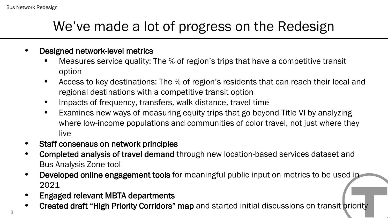# We've made a lot of progress on the Redesign

#### • Designed network-level metrics

- Measures service quality: The % of region's trips that have a competitive transit option
- Access to key destinations: The % of region's residents that can reach their local and regional destinations with a competitive transit option
- Impacts of frequency, transfers, walk distance, travel time
- Examines new ways of measuring equity trips that go beyond Title VI by analyzing where low-income populations and communities of color travel, not just where they live
- Staff consensus on network principles
- Completed analysis of travel demand through new location-based services dataset and Bus Analysis Zone tool
- Developed online engagement tools for meaningful public input on metrics to be used in 2021
- Engaged relevant MBTA departments
- Created draft "High Priority Corridors" map and started initial discussions on transit priority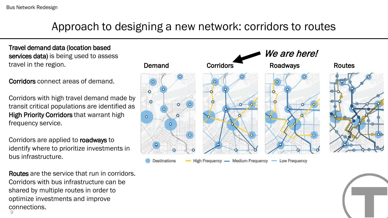### Approach to designing a new network: corridors to routes

Travel demand data (location based services data) is being used to assess travel in the region.

Corridors connect areas of demand.

Corridors with high travel demand made by transit critical populations are identified as High Priority Corridors that warrant high frequency service.

Corridors are applied to roadways to identify where to prioritize investments in bus infrastructure.

9 Routes are the service that run in corridors. Corridors with bus infrastructure can be shared by multiple routes in order to optimize investments and improve connections.

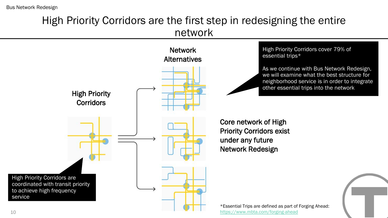#### High Priority Corridors are the first step in redesigning the entire network

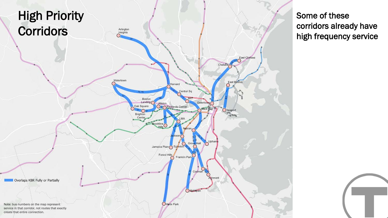

Some of these corridors already have high frequency service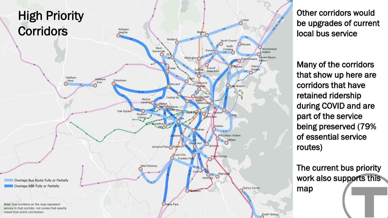

Other corridors would be upgrades of current local bus service

Many of the corridors that show up here are corridors that have retained ridership during COVID and are part of the service being preserved (79% of essential service routes)

The current bus priority work also supports this map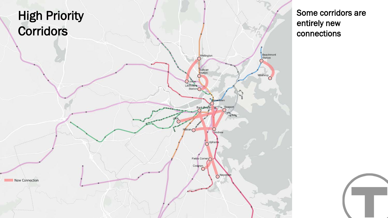

Some corridors are entirely new connections

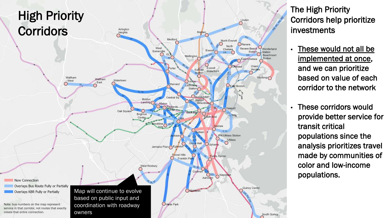

The High Priority Corridors help prioritize investments

- These would not all be implemented at once, and we can prioritize based on value of each corridor to the network
- These corridors would provide better service for transit critical populations since the analysis prioritizes travel made by communities of color and low -income populations.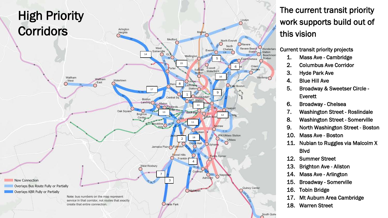

#### The current transit priority work supports build out of this vision

#### Current transit priority projects

- 1. Mass Ave Cambridge
- 2. Columbus Ave Corridor
- 3. Hyde Park Ave
- 4. Blue Hill Ave
- 5. Broadway & Sweetser Circle Everett
- 6. Broadway Chelsea
- 7. Washington Street Roslindale
- 8. Washington Street Somerville
- 9. North Washington Street Boston
- 10. Mass Ave Boston
- 11. Nubian to Ruggles via Malcolm X Blvd
- 12. Summer Street
- 13. Brighton Ave Allston
- 14. Mass Ave Arlington
- 15. Broadway Somerville
- 16. Tobin Bridge
- 17. Mt Auburn Area Cambridge
- 18. Warren Street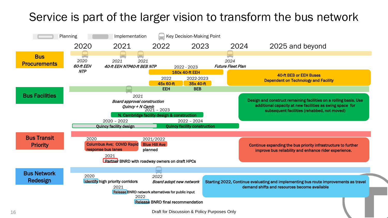## Service is part of the larger vision to transform the bus network

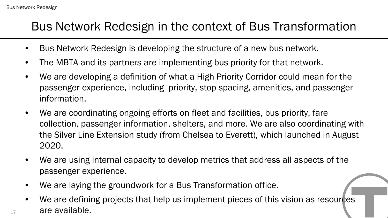17

## Bus Network Redesign in the context of Bus Transformation

- Bus Network Redesign is developing the structure of a new bus network.
- The MBTA and its partners are implementing bus priority for that network.
- We are developing a definition of what a High Priority Corridor could mean for the passenger experience, including priority, stop spacing, amenities, and passenger information.
- We are coordinating ongoing efforts on fleet and facilities, bus priority, fare collection, passenger information, shelters, and more. We are also coordinating with the Silver Line Extension study (from Chelsea to Everett), which launched in August 2020.
- We are using internal capacity to develop metrics that address all aspects of the passenger experience.
- We are laying the groundwork for a Bus Transformation office.
- We are defining projects that help us implement pieces of this vision as resources are available.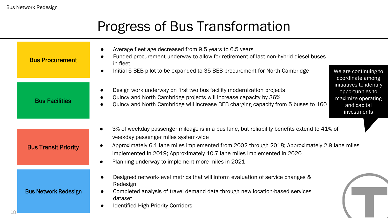# Progress of Bus Transformation

| <b>Bus Procurement</b>      | Average fleet age decreased from 9.5 years to 6.5 years<br>$\bullet$<br>Funded procurement underway to allow for retirement of last non-hybrid diesel buses<br>in fleet<br>Initial 5 BEB pilot to be expanded to 35 BEB procurement for North Cambridge<br>We are continuing to<br>$\bullet$                                                                                    |
|-----------------------------|---------------------------------------------------------------------------------------------------------------------------------------------------------------------------------------------------------------------------------------------------------------------------------------------------------------------------------------------------------------------------------|
| <b>Bus Facilities</b>       | coordinate among<br>initiatives to identify<br>Design work underway on first two bus facility modernization projects<br>opportunities to<br>Quincy and North Cambridge projects will increase capacity by 36%<br>maximize operating<br>Quincy and North Cambridge will increase BEB charging capacity from 5 buses to 160<br>and capital<br>investments                         |
| <b>Bus Transit Priority</b> | 3% of weekday passenger mileage is in a bus lane, but reliability benefits extend to 41% of<br>weekday passenger miles system-wide<br>Approximately 6.1 lane miles implemented from 2002 through 2018; Approximately 2.9 lane miles<br>$\bullet$<br>implemented in 2019; Approximately 10.7 lane miles implemented in 2020<br>Planning underway to implement more miles in 2021 |
| <b>Bus Network Redesign</b> | Designed network-level metrics that will inform evaluation of service changes &<br>Redesign<br>Completed analysis of travel demand data through new location-based services<br>dataset<br><b>Identified High Priority Corridors</b>                                                                                                                                             |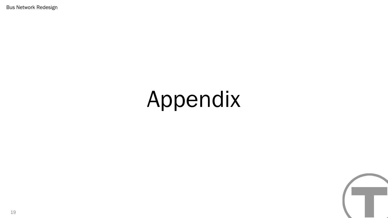Bus Network Redesign

# Appendix

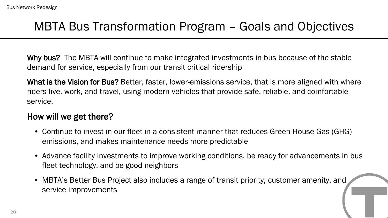## MBTA Bus Transformation Program – Goals and Objectives

Why bus? The MBTA will continue to make integrated investments in bus because of the stable demand for service, especially from our transit critical ridership

What is the Vision for Bus? Better, faster, lower-emissions service, that is more aligned with where riders live, work, and travel, using modern vehicles that provide safe, reliable, and comfortable service.

#### How will we get there?

- Continue to invest in our fleet in a consistent manner that reduces Green-House-Gas (GHG) emissions, and makes maintenance needs more predictable
- Advance facility investments to improve working conditions, be ready for advancements in bus fleet technology, and be good neighbors
- MBTA's Better Bus Project also includes a range of transit priority, customer amenity, and service improvements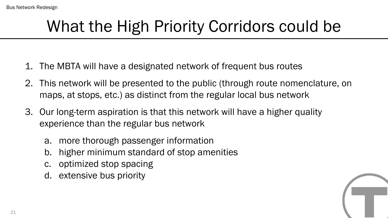# What the High Priority Corridors could be

- 1. The MBTA will have a designated network of frequent bus routes
- 2. This network will be presented to the public (through route nomenclature, on maps, at stops, etc.) as distinct from the regular local bus network
- 3. Our long-term aspiration is that this network will have a higher quality experience than the regular bus network
	- a. more thorough passenger information
	- b. higher minimum standard of stop amenities
	- c. optimized stop spacing
	- d. extensive bus priority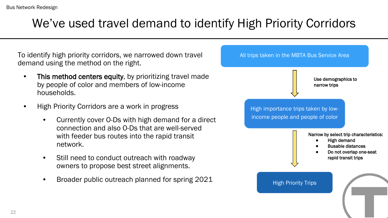## We've used travel demand to identify High Priority Corridors

To identify high priority corridors, we narrowed down travel demand using the method on the right.

- This method centers equity, by prioritizing travel made by people of color and members of low-income households.
- High Priority Corridors are a work in progress
	- Currently cover O-Ds with high demand for a direct connection and also O-Ds that are well-served with feeder bus routes into the rapid transit network.
	- Still need to conduct outreach with roadway owners to propose best street alignments.
	- Broader public outreach planned for spring 2021